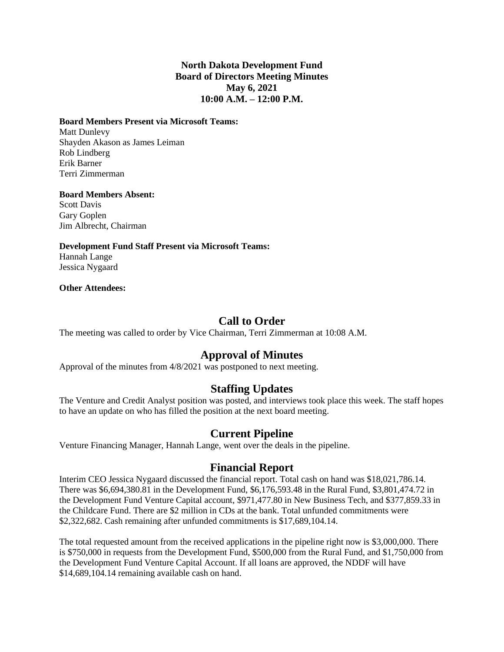### **North Dakota Development Fund Board of Directors Meeting Minutes May 6, 2021 10:00 A.M. – 12:00 P.M.**

#### **Board Members Present via Microsoft Teams:**

Matt Dunlevy Shayden Akason as James Leiman Rob Lindberg Erik Barner Terri Zimmerman

#### **Board Members Absent:**

Scott Davis Gary Goplen Jim Albrecht, Chairman

#### **Development Fund Staff Present via Microsoft Teams:**

Hannah Lange Jessica Nygaard

#### **Other Attendees:**

# **Call to Order**

The meeting was called to order by Vice Chairman, Terri Zimmerman at 10:08 A.M.

# **Approval of Minutes**

Approval of the minutes from 4/8/2021 was postponed to next meeting.

# **Staffing Updates**

The Venture and Credit Analyst position was posted, and interviews took place this week. The staff hopes to have an update on who has filled the position at the next board meeting.

### **Current Pipeline**

Venture Financing Manager, Hannah Lange, went over the deals in the pipeline.

### **Financial Report**

Interim CEO Jessica Nygaard discussed the financial report. Total cash on hand was \$18,021,786.14. There was \$6,694,380.81 in the Development Fund, \$6,176,593.48 in the Rural Fund, \$3,801,474.72 in the Development Fund Venture Capital account, \$971,477.80 in New Business Tech, and \$377,859.33 in the Childcare Fund. There are \$2 million in CDs at the bank. Total unfunded commitments were \$2,322,682. Cash remaining after unfunded commitments is \$17,689,104.14.

The total requested amount from the received applications in the pipeline right now is \$3,000,000. There is \$750,000 in requests from the Development Fund, \$500,000 from the Rural Fund, and \$1,750,000 from the Development Fund Venture Capital Account. If all loans are approved, the NDDF will have \$14,689,104.14 remaining available cash on hand.